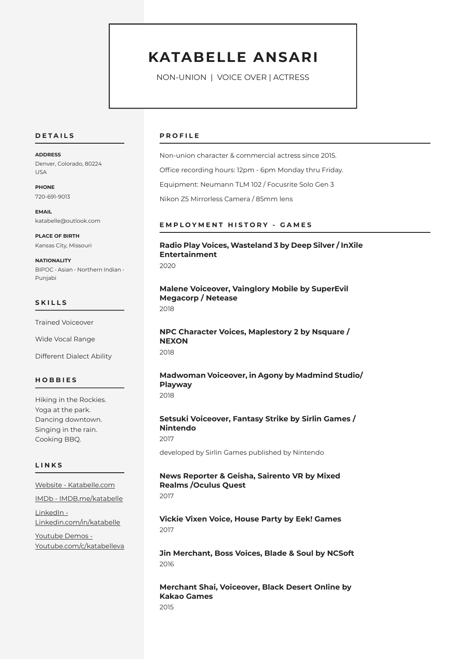## **KATABELLE ANSARI**

NON-UNION | VOICE OVER | ACTRESS

#### **D E T A I L S**

**ADDRESS** Denver, Colorado, 80224 USA

**PHONE** 720-691-9013

**EMAIL** katabelle@outlook.com

**PLACE OF BIRTH** Kansas City, Missouri

**NATIONALITY** BIPOC - Asian - Northern Indian - Punjabi

#### **S K I L L S**

Trained Voiceover

Wide Vocal Range

Different Dialect Ability

#### **H O B B I E S**

Hiking in the Rockies. Yoga at the park. Dancing downtown. Singing in the rain. Cooking BBQ.

#### **L I N K S**

[Website - Katabelle.com](www.katabelle.com)

[IMDb - IMDB.me/katabelle](https://www.imdb.me/katabelle)

[LinkedIn -](www.linkedin.com/in/katabelle)  [Linkedin.com/in/katabelle](www.linkedin.com/in/katabelle)

[Youtube Demos -](https://www.youtube.com/c/katabelleva)  [Youtube.com/c/katabelleva](https://www.youtube.com/c/katabelleva)

#### **P R O F I L E**

Non-union character & commercial actress since 2015. Office recording hours: 12pm - 6pm Monday thru Friday. Equipment: Neumann TLM 102 / Focusrite Solo Gen 3 Nikon Z5 Mirrorless Camera / 85mm lens

#### **E M P L O Y M E N T H I S T O R Y - G A M E S**

**Radio Play Voices, Wasteland 3 by Deep Silver / InXile Entertainment** 2020

**Malene Voiceover, Vainglory Mobile by SuperEvil Megacorp / Netease** 2018

**NPC Character Voices, Maplestory 2 by Nsquare / NEXON** 2018

**Madwoman Voiceover, in Agony by Madmind Studio/ Playway** 2018

**Setsuki Voiceover, Fantasy Strike by Sirlin Games / Nintendo** 2017

developed by Sirlin Games published by Nintendo

### **News Reporter & Geisha, Sairento VR by Mixed Realms /Oculus Quest**

2017

**Vickie Vixen Voice, House Party by Eek! Games** 2017

**Jin Merchant, Boss Voices, Blade & Soul by NCSoft** 2016

**Merchant Shai, Voiceover, Black Desert Online by Kakao Games** 2015